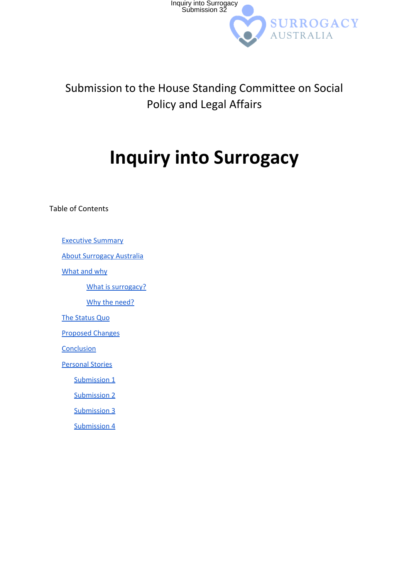

#### Submission to the House Standing Committee on Social Policy and Legal Affairs

# **Inquiry into Surrogacy**

Table of Contents

Executive [Summary](#page-1-0)

About [Surrogacy](#page-2-0) Australia

[What](#page-3-0) and why

What is [surrogacy?](#page-3-1)

Why the [need?](#page-3-2)

The [Status](#page-4-0) Quo

[Proposed](#page-5-0) Changes

**[Conclusion](#page-6-0)** 

[Personal](#page-7-0) Stories

[Submission](#page-7-1) 1

[Submission](#page-9-0) 2

[Submission](#page-12-0) 3

[Submission](#page-13-0) 4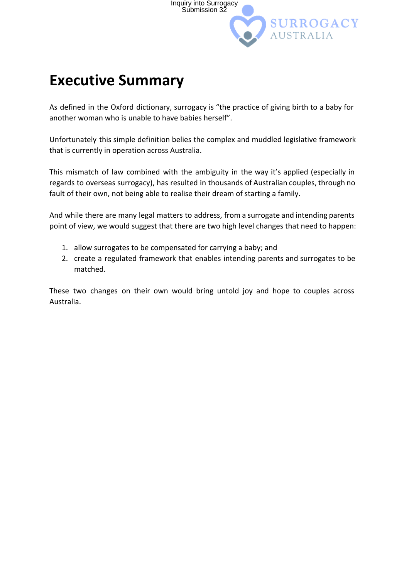

### <span id="page-1-0"></span>**Executive Summary**

As defined in the Oxford dictionary, surrogacy is "the practice of giving birth to a baby for another woman who is unable to have babies herself".

Unfortunately this simple definition belies the complex and muddled legislative framework that is currently in operation across Australia.

This mismatch of law combined with the ambiguity in the way it's applied (especially in regards to overseas surrogacy), has resulted in thousands of Australian couples, through no fault of their own, not being able to realise their dream of starting a family.

And while there are many legal matters to address, from a surrogate and intending parents point of view, we would suggest that there are two high level changes that need to happen:

- 1. allow surrogates to be compensated for carrying a baby; and
- 2. create a regulated framework that enables intending parents and surrogates to be matched.

These two changes on their own would bring untold joy and hope to couples across Australia.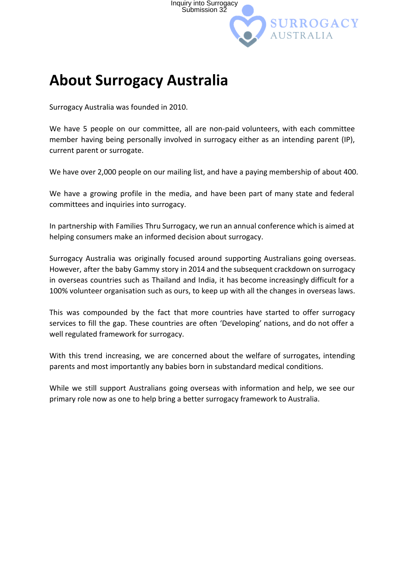

### <span id="page-2-0"></span>**About Surrogacy Australia**

Surrogacy Australia was founded in 2010.

We have 5 people on our committee, all are non-paid volunteers, with each committee member having being personally involved in surrogacy either as an intending parent (IP), current parent or surrogate.

We have over 2,000 people on our mailing list, and have a paying membership of about 400.

We have a growing profile in the media, and have been part of many state and federal committees and inquiries into surrogacy.

In partnership with Families Thru Surrogacy, we run an annual conference which is aimed at helping consumers make an informed decision about surrogacy.

Surrogacy Australia was originally focused around supporting Australians going overseas. However, after the baby Gammy story in 2014 and the subsequent crackdown on surrogacy in overseas countries such as Thailand and India, it has become increasingly difficult for a 100% volunteer organisation such as ours, to keep up with all the changes in overseas laws.

This was compounded by the fact that more countries have started to offer surrogacy services to fill the gap. These countries are often 'Developing' nations, and do not offer a well regulated framework for surrogacy.

With this trend increasing, we are concerned about the welfare of surrogates, intending parents and most importantly any babies born in substandard medical conditions.

While we still support Australians going overseas with information and help, we see our primary role now as one to help bring a better surrogacy framework to Australia.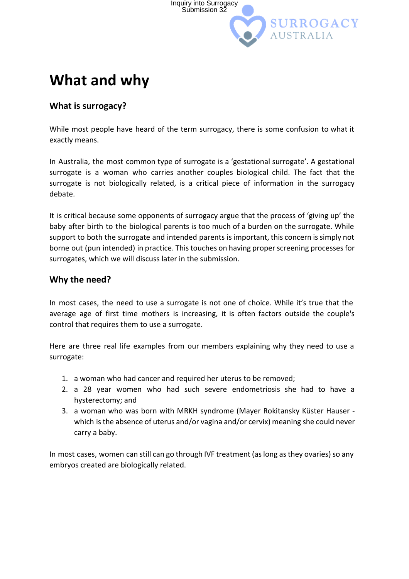

### <span id="page-3-0"></span>**What and why**

#### <span id="page-3-1"></span>**What is surrogacy?**

While most people have heard of the term surrogacy, there is some confusion to what it exactly means.

In Australia, the most common type of surrogate is a 'gestational surrogate'. A gestational surrogate is a woman who carries another couples biological child. The fact that the surrogate is not biologically related, is a critical piece of information in the surrogacy debate.

It is critical because some opponents of surrogacy argue that the process of 'giving up' the baby after birth to the biological parents is too much of a burden on the surrogate. While support to both the surrogate and intended parents is important, this concern is simply not borne out (pun intended) in practice. This touches on having proper screening processes for surrogates, which we will discuss later in the submission.

#### <span id="page-3-2"></span>**Why the need?**

In most cases, the need to use a surrogate is not one of choice. While it's true that the average age of first time mothers is increasing, it is often factors outside the couple's control that requires them to use a surrogate.

Here are three real life examples from our members explaining why they need to use a surrogate:

- 1. a woman who had cancer and required her uterus to be removed;
- 2. a 28 year women who had such severe endometriosis she had to have a hysterectomy; and
- 3. a woman who was born with MRKH syndrome (Mayer Rokitansky Küster Hauser ‐ which is the absence of uterus and/or vagina and/or cervix) meaning she could never carry a baby.

In most cases, women can still can go through IVF treatment (as long as they ovaries) so any embryos created are biologically related.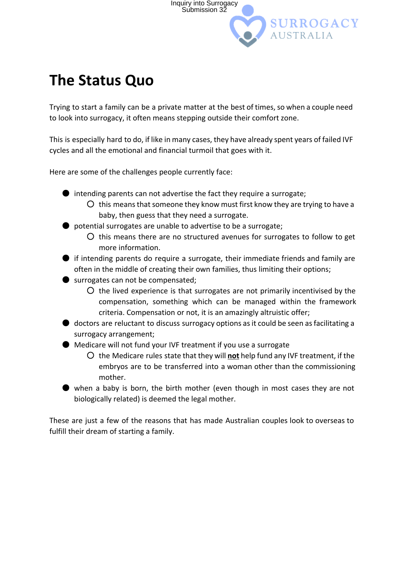

## <span id="page-4-0"></span>**The Status Quo**

Trying to start a family can be a private matter at the best of times, so when a couple need to look into surrogacy, it often means stepping outside their comfort zone.

This is especially hard to do, if like in many cases, they have already spent years of failed IVF cycles and all the emotional and financial turmoil that goes with it.

Here are some of the challenges people currently face:

- $\bullet$  intending parents can not advertise the fact they require a surrogate;
	- $\overline{O}$  this means that someone they know must first know they are trying to have a baby, then guess that they need a surrogate.
- potential surrogates are unable to advertise to be a surrogate;
	- this means there are no structured avenues for surrogates to follow to get more information.

 $\bullet$  if intending parents do require a surrogate, their immediate friends and family are often in the middle of creating their own families, thus limiting their options;

- surrogates can not be compensated;
	- the lived experience is that surrogates are not primarily incentivised by the compensation, something which can be managed within the framework criteria. Compensation or not, it is an amazingly altruistic offer;
- $\bullet$  doctors are reluctant to discuss surrogacy options as it could be seen as facilitating a surrogacy arrangement;
- Medicare will not fund your IVF treatment if you use a surrogate
	- the Medicare rules state that they will **not** help fund any IVF treatment, if the embryos are to be transferred into a woman other than the commissioning mother.
- $\bullet$  when a baby is born, the birth mother (even though in most cases they are not biologically related) is deemed the legal mother.

These are just a few of the reasons that has made Australian couples look to overseas to fulfill their dream of starting a family.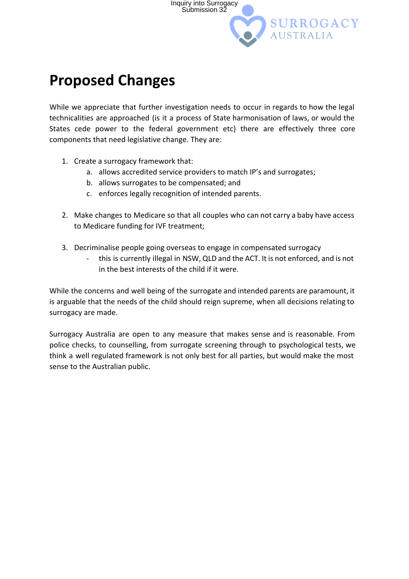

### <span id="page-5-0"></span>**Proposed Changes**

While we appreciate that further investigation needs to occur in regards to how the legal technicalities are approached (is it a process of State harmonisation of laws, or would the States cede power to the federal government etc) there are effectively three core components that need legislative change. They are:

- 1. Create a surrogacy framework that:
	- a. allows accredited service providers to match IP's and surrogates;
	- b. allows surrogates to be compensated; and
	- c. enforces legally recognition of intended parents.
- 2. Make changes to Medicare so that all couples who can not carry a baby have access to Medicare funding for IVF treatment;
- 3. Decriminalise people going overseas to engage in compensated surrogacy
	- this is currently illegal in NSW, QLD and the ACT. It is not enforced, and is not in the best interests of the child if it were.

While the concerns and well being of the surrogate and intended parents are paramount, it is arguable that the needs of the child should reign supreme, when all decisions relating to surrogacy are made.

Surrogacy Australia are open to any measure that makes sense and is reasonable. From police checks, to counselling, from surrogate screening through to psychological tests, we think a well regulated framework is not only best for all parties, but would make the most sense to the Australian public.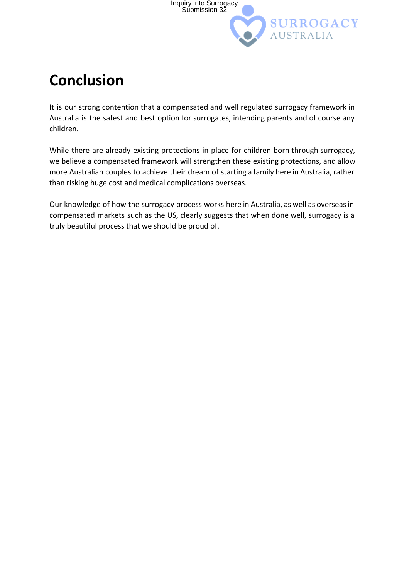

# <span id="page-6-0"></span>**Conclusion**

It is our strong contention that a compensated and well regulated surrogacy framework in Australia is the safest and best option for surrogates, intending parents and of course any children.

While there are already existing protections in place for children born through surrogacy, we believe a compensated framework will strengthen these existing protections, and allow more Australian couples to achieve their dream of starting a family here in Australia, rather than risking huge cost and medical complications overseas.

Our knowledge of how the surrogacy process works here in Australia, as well as overseasin compensated markets such as the US, clearly suggests that when done well, surrogacy is a truly beautiful process that we should be proud of.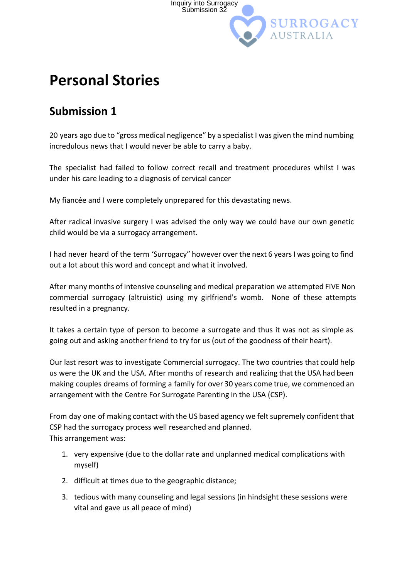

### <span id="page-7-0"></span>**Personal Stories**

#### <span id="page-7-1"></span>**Submission 1**

20 years ago due to "gross medical negligence" by a specialist I was given the mind numbing incredulous news that I would never be able to carry a baby.

The specialist had failed to follow correct recall and treatment procedures whilst I was under his care leading to a diagnosis of cervical cancer

My fiancée and I were completely unprepared for this devastating news.

After radical invasive surgery I was advised the only way we could have our own genetic child would be via a surrogacy arrangement.

I had never heard of the term 'Surrogacy" however over the next 6 years I was going to find out a lot about this word and concept and what it involved.

After many months of intensive counseling and medical preparation we attempted FIVE Non commercial surrogacy (altruistic) using my girlfriend's womb. None of these attempts resulted in a pregnancy.

It takes a certain type of person to become a surrogate and thus it was not as simple as going out and asking another friend to try for us (out of the goodness of their heart).

Our last resort was to investigate Commercial surrogacy. The two countries that could help us were the UK and the USA. After months of research and realizing that the USA had been making couples dreams of forming a family for over 30 years come true, we commenced an arrangement with the Centre For Surrogate Parenting in the USA (CSP).

From day one of making contact with the US based agency we felt supremely confident that CSP had the surrogacy process well researched and planned. This arrangement was:

- 1. very expensive (due to the dollar rate and unplanned medical complications with myself)
- 2. difficult at times due to the geographic distance;
- 3. tedious with many counseling and legal sessions (in hindsight these sessions were vital and gave us all peace of mind)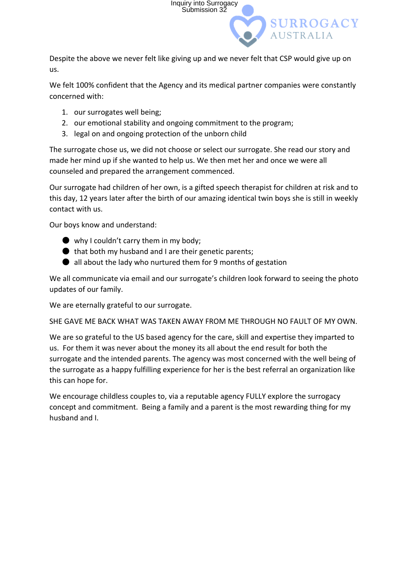

Despite the above we never felt like giving up and we never felt that CSP would give up on us.

We felt 100% confident that the Agency and its medical partner companies were constantly concerned with:

- 1. our surrogates well being;
- 2. our emotional stability and ongoing commitment to the program;
- 3. legal on and ongoing protection of the unborn child

The surrogate chose us, we did not choose or select our surrogate. She read our story and made her mind up if she wanted to help us. We then met her and once we were all counseled and prepared the arrangement commenced.

Our surrogate had children of her own, is a gifted speech therapist for children at risk and to this day, 12 years later after the birth of our amazing identical twin boys she is still in weekly contact with us.

Our boys know and understand:

- why I couldn't carry them in my body;
- $\bullet$  that both my husband and I are their genetic parents;
- $\bullet$  all about the lady who nurtured them for 9 months of gestation

We all communicate via email and our surrogate's children look forward to seeing the photo updates of our family.

We are eternally grateful to our surrogate.

SHE GAVE ME BACK WHAT WAS TAKEN AWAY FROM ME THROUGH NO FAULT OF MY OWN.

We are so grateful to the US based agency for the care, skill and expertise they imparted to us. For them it was never about the money its all about the end result for both the surrogate and the intended parents. The agency was most concerned with the well being of the surrogate as a happy fulfilling experience for her is the best referral an organization like this can hope for.

We encourage childless couples to, via a reputable agency FULLY explore the surrogacy concept and commitment. Being a family and a parent is the most rewarding thing for my husband and I.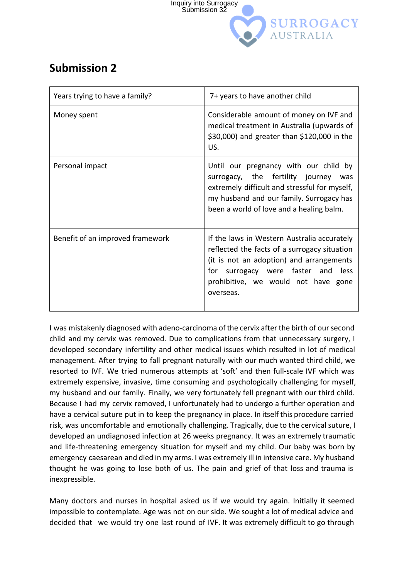

#### <span id="page-9-0"></span>**Submission 2**

| Years trying to have a family?   | 7+ years to have another child                                                                                                                                                                                                       |
|----------------------------------|--------------------------------------------------------------------------------------------------------------------------------------------------------------------------------------------------------------------------------------|
| Money spent                      | Considerable amount of money on IVF and<br>medical treatment in Australia (upwards of<br>\$30,000) and greater than \$120,000 in the<br>US.                                                                                          |
| Personal impact                  | Until our pregnancy with our child by<br>surrogacy, the fertility journey<br>was<br>extremely difficult and stressful for myself,<br>my husband and our family. Surrogacy has<br>been a world of love and a healing balm.            |
| Benefit of an improved framework | If the laws in Western Australia accurately<br>reflected the facts of a surrogacy situation<br>(it is not an adoption) and arrangements<br>for surrogacy were faster and<br>less<br>prohibitive, we would not have gone<br>overseas. |

I was mistakenly diagnosed with adeno‐carcinoma of the cervix after the birth of oursecond child and my cervix was removed. Due to complications from that unnecessary surgery, I developed secondary infertility and other medical issues which resulted in lot of medical management. After trying to fall pregnant naturally with our much wanted third child, we resorted to IVF. We tried numerous attempts at 'soft' and then full‐scale IVF which was extremely expensive, invasive, time consuming and psychologically challenging for myself, my husband and our family. Finally, we very fortunately fell pregnant with our third child. Because I had my cervix removed, I unfortunately had to undergo a further operation and have a cervical suture put in to keep the pregnancy in place. In itself this procedure carried risk, was uncomfortable and emotionally challenging. Tragically, due to the cervical suture, I developed an undiagnosed infection at 26 weeks pregnancy. It was an extremely traumatic and life-threatening emergency situation for myself and my child. Our baby was born by emergency caesarean and died in my arms. I was extremely ill in intensive care. My husband thought he was going to lose both of us. The pain and grief of that loss and trauma is inexpressible.

Many doctors and nurses in hospital asked us if we would try again. Initially it seemed impossible to contemplate. Age was not on our side. We sought a lot of medical advice and decided that we would try one last round of IVF. It was extremely difficult to go through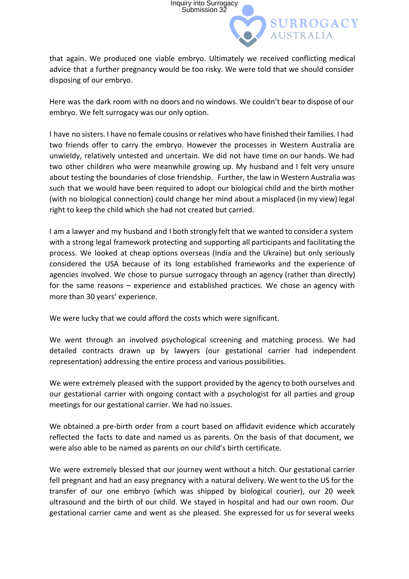that again. We produced one viable embryo. Ultimately we received conflicting medical advice that a further pregnancy would be too risky. We were told that we should consider disposing of our embryo.

Inquiry into Surrogacy Submission 32

**SURROGACY** 

Here was the dark room with no doors and no windows. We couldn't bear to dispose of our embryo. We felt surrogacy was our only option.

I have no sisters. I have no female cousins or relatives who have finished their families. I had two friends offer to carry the embryo. However the processes in Western Australia are unwieldy, relatively untested and uncertain. We did not have time on our hands. We had two other children who were meanwhile growing up. My husband and I felt very unsure about testing the boundaries of close friendship. Further, the law in Western Australia was such that we would have been required to adopt our biological child and the birth mother (with no biological connection) could change her mind about a misplaced (in my view) legal right to keep the child which she had not created but carried.

I am a lawyer and my husband and I both strongly felt that we wanted to consider a system with a strong legal framework protecting and supporting all participants and facilitating the process. We looked at cheap options overseas (India and the Ukraine) but only seriously considered the USA because of its long established frameworks and the experience of agencies involved. We chose to pursue surrogacy through an agency (rather than directly) for the same reasons – experience and established practices. We chose an agency with more than 30 years' experience.

We were lucky that we could afford the costs which were significant.

We went through an involved psychological screening and matching process. We had detailed contracts drawn up by lawyers (our gestational carrier had independent representation) addressing the entire process and various possibilities.

We were extremely pleased with the support provided by the agency to both ourselves and our gestational carrier with ongoing contact with a psychologist for all parties and group meetings for our gestational carrier. We had no issues.

We obtained a pre-birth order from a court based on affidavit evidence which accurately reflected the facts to date and named us as parents. On the basis of that document, we were also able to be named as parents on our child's birth certificate.

We were extremely blessed that our journey went without a hitch. Our gestational carrier fell pregnant and had an easy pregnancy with a natural delivery. We went to the US for the transfer of our one embryo (which was shipped by biological courier), our 20 week ultrasound and the birth of our child. We stayed in hospital and had our own room. Our gestational carrier came and went as she pleased. She expressed for us for several weeks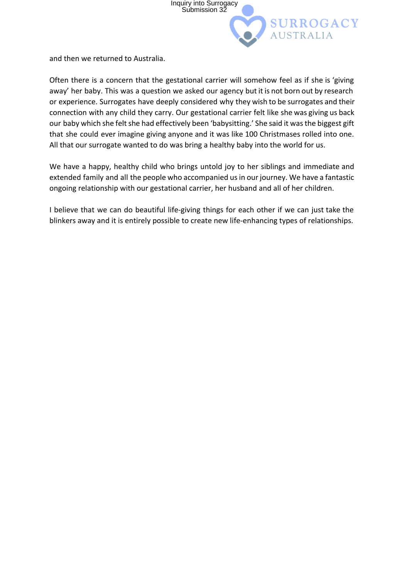

and then we returned to Australia.

Often there is a concern that the gestational carrier will somehow feel as if she is 'giving away' her baby. This was a question we asked our agency but it is not born out by research or experience. Surrogates have deeply considered why they wish to be surrogates and their connection with any child they carry. Our gestational carrier felt like she was giving us back our baby which she felt she had effectively been 'babysitting.' She said it was the biggest gift that she could ever imagine giving anyone and it was like 100 Christmases rolled into one. All that our surrogate wanted to do was bring a healthy baby into the world for us.

We have a happy, healthy child who brings untold joy to her siblings and immediate and extended family and all the people who accompanied us in our journey. We have a fantastic ongoing relationship with our gestational carrier, her husband and all of her children.

I believe that we can do beautiful life‐giving things for each other if we can just take the blinkers away and it is entirely possible to create new life-enhancing types of relationships.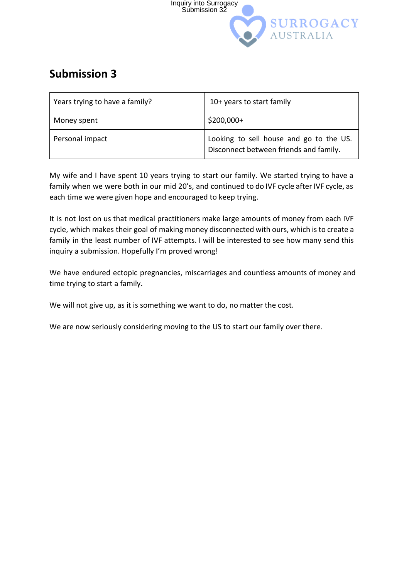

#### <span id="page-12-0"></span>**Submission 3**

| Years trying to have a family? | 10+ years to start family                                                         |
|--------------------------------|-----------------------------------------------------------------------------------|
| Money spent                    | $$200,000+$                                                                       |
| Personal impact                | Looking to sell house and go to the US.<br>Disconnect between friends and family. |

My wife and I have spent 10 years trying to start our family. We started trying to have a family when we were both in our mid 20's, and continued to do IVF cycle after IVF cycle, as each time we were given hope and encouraged to keep trying.

It is not lost on us that medical practitioners make large amounts of money from each IVF cycle, which makes their goal of making money disconnected with ours, which is to create a family in the least number of IVF attempts. I will be interested to see how many send this inquiry a submission. Hopefully I'm proved wrong!

We have endured ectopic pregnancies, miscarriages and countless amounts of money and time trying to start a family.

We will not give up, as it is something we want to do, no matter the cost.

We are now seriously considering moving to the US to start our family over there.